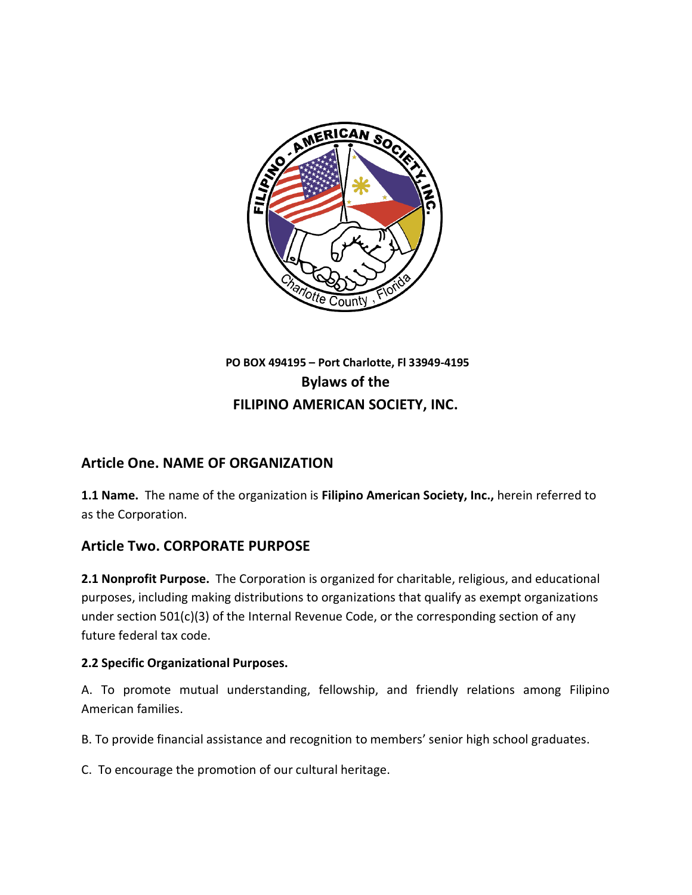

# **PO BOX 494195 – Port Charlotte, Fl 33949-4195 Bylaws of the FILIPINO AMERICAN SOCIETY, INC.**

## **Article One. NAME OF ORGANIZATION**

**1.1 Name.** The name of the organization is **Filipino American Society, Inc.,** herein referred to as the Corporation.

### **Article Two. CORPORATE PURPOSE**

**2.1 Nonprofit Purpose.** The Corporation is organized for charitable, religious, and educational purposes, including making distributions to organizations that qualify as exempt organizations under section 501(c)(3) of the Internal Revenue Code, or the corresponding section of any future federal tax code.

#### **2.2 Specific Organizational Purposes.**

A. To promote mutual understanding, fellowship, and friendly relations among Filipino American families.

B. To provide financial assistance and recognition to members' senior high school graduates.

C. To encourage the promotion of our cultural heritage.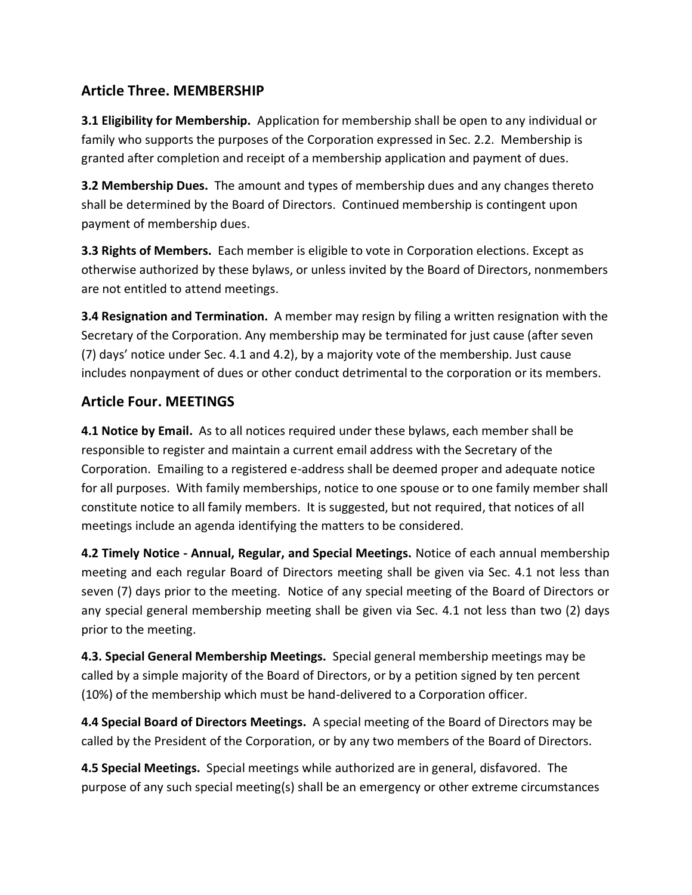## **Article Three. MEMBERSHIP**

**3.1 Eligibility for Membership.** Application for membership shall be open to any individual or family who supports the purposes of the Corporation expressed in Sec. 2.2. Membership is granted after completion and receipt of a membership application and payment of dues.

**3.2 Membership Dues.** The amount and types of membership dues and any changes thereto shall be determined by the Board of Directors. Continued membership is contingent upon payment of membership dues.

**3.3 Rights of Members.** Each member is eligible to vote in Corporation elections. Except as otherwise authorized by these bylaws, or unless invited by the Board of Directors, nonmembers are not entitled to attend meetings.

**3.4 Resignation and Termination.** A member may resign by filing a written resignation with the Secretary of the Corporation. Any membership may be terminated for just cause (after seven (7) days' notice under Sec. 4.1 and 4.2), by a majority vote of the membership. Just cause includes nonpayment of dues or other conduct detrimental to the corporation or its members.

### **Article Four. MEETINGS**

**4.1 Notice by Email.** As to all notices required under these bylaws, each member shall be responsible to register and maintain a current email address with the Secretary of the Corporation. Emailing to a registered e-address shall be deemed proper and adequate notice for all purposes. With family memberships, notice to one spouse or to one family member shall constitute notice to all family members. It is suggested, but not required, that notices of all meetings include an agenda identifying the matters to be considered.

**4.2 Timely Notice - Annual, Regular, and Special Meetings.** Notice of each annual membership meeting and each regular Board of Directors meeting shall be given via Sec. 4.1 not less than seven (7) days prior to the meeting. Notice of any special meeting of the Board of Directors or any special general membership meeting shall be given via Sec. 4.1 not less than two (2) days prior to the meeting.

**4.3. Special General Membership Meetings.** Special general membership meetings may be called by a simple majority of the Board of Directors, or by a petition signed by ten percent (10%) of the membership which must be hand-delivered to a Corporation officer.

**4.4 Special Board of Directors Meetings.** A special meeting of the Board of Directors may be called by the President of the Corporation, or by any two members of the Board of Directors.

**4.5 Special Meetings.** Special meetings while authorized are in general, disfavored.The purpose of any such special meeting(s) shall be an emergency or other extreme circumstances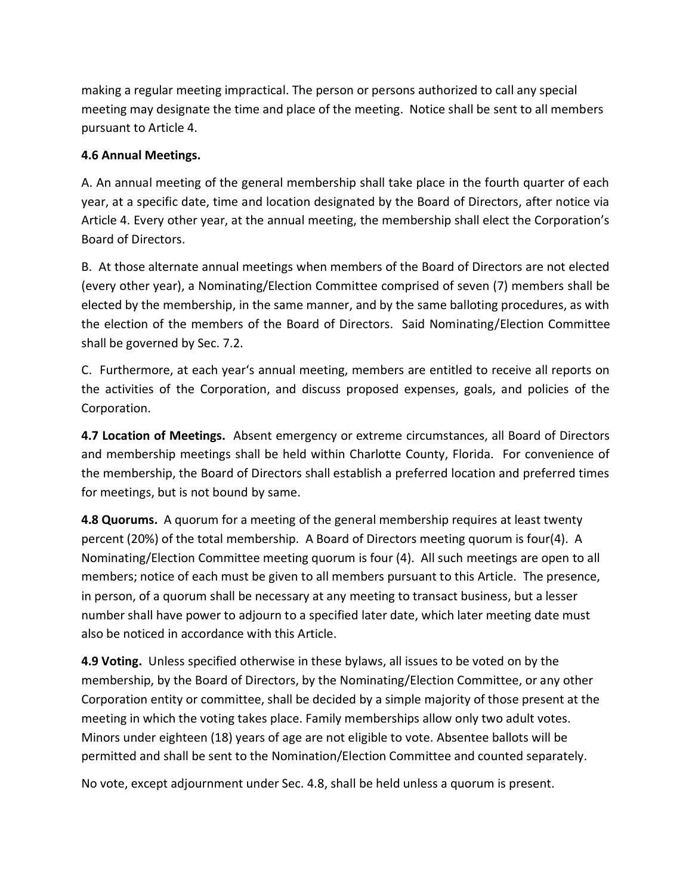making a regular meeting impractical. The person or persons authorized to call any special meeting may designate the time and place of the meeting. Notice shall be sent to all members pursuant to Article 4.

#### **4.6 Annual Meetings.**

A. An annual meeting of the general membership shall take place in the fourth quarter of each year, at a specific date, time and location designated by the Board of Directors, after notice via Article 4. Every other year, at the annual meeting, the membership shall elect the Corporation's Board of Directors.

B. At those alternate annual meetings when members of the Board of Directors are not elected (every other year), a Nominating/Election Committee comprised of seven (7) members shall be elected by the membership, in the same manner, and by the same balloting procedures, as with the election of the members of the Board of Directors. Said Nominating/Election Committee shall be governed by Sec. 7.2.

C. Furthermore, at each year's annual meeting, members are entitled to receive all reports on the activities of the Corporation, and discuss proposed expenses, goals, and policies of the Corporation.

**4.7 Location of Meetings.** Absent emergency or extreme circumstances, all Board of Directors and membership meetings shall be held within Charlotte County, Florida. For convenience of the membership, the Board of Directors shall establish a preferred location and preferred times for meetings, but is not bound by same.

**4.8 Quorums.** A quorum for a meeting of the general membership requires at least twenty percent (20%) of the total membership. A Board of Directors meeting quorum is four(4). A Nominating/Election Committee meeting quorum is four (4). All such meetings are open to all members; notice of each must be given to all members pursuant to this Article. The presence, in person, of a quorum shall be necessary at any meeting to transact business, but a lesser number shall have power to adjourn to a specified later date, which later meeting date must also be noticed in accordance with this Article.

**4.9 Voting.** Unless specified otherwise in these bylaws, all issues to be voted on by the membership, by the Board of Directors, by the Nominating/Election Committee, or any other Corporation entity or committee, shall be decided by a simple majority of those present at the meeting in which the voting takes place. Family memberships allow only two adult votes. Minors under eighteen (18) years of age are not eligible to vote. Absentee ballots will be permitted and shall be sent to the Nomination/Election Committee and counted separately.

No vote, except adjournment under Sec. 4.8, shall be held unless a quorum is present.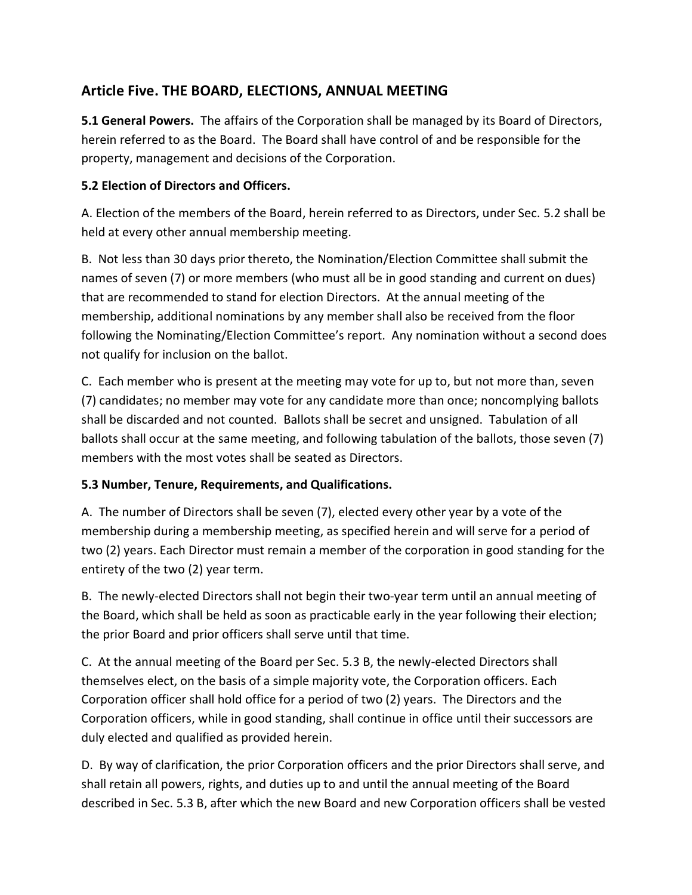## **Article Five. THE BOARD, ELECTIONS, ANNUAL MEETING**

**5.1 General Powers.** The affairs of the Corporation shall be managed by its Board of Directors, herein referred to as the Board. The Board shall have control of and be responsible for the property, management and decisions of the Corporation.

### **5.2 Election of Directors and Officers.**

A. Election of the members of the Board, herein referred to as Directors, under Sec. 5.2 shall be held at every other annual membership meeting.

B. Not less than 30 days prior thereto, the Nomination/Election Committee shall submit the names of seven (7) or more members (who must all be in good standing and current on dues) that are recommended to stand for election Directors. At the annual meeting of the membership, additional nominations by any member shall also be received from the floor following the Nominating/Election Committee's report. Any nomination without a second does not qualify for inclusion on the ballot.

C. Each member who is present at the meeting may vote for up to, but not more than, seven (7) candidates; no member may vote for any candidate more than once; noncomplying ballots shall be discarded and not counted. Ballots shall be secret and unsigned. Tabulation of all ballots shall occur at the same meeting, and following tabulation of the ballots, those seven (7) members with the most votes shall be seated as Directors.

### **5.3 Number, Tenure, Requirements, and Qualifications.**

A.The number of Directors shall be seven (7), elected every other year by a vote of the membership during a membership meeting, as specified herein and will serve for a period of two (2) years. Each Director must remain a member of the corporation in good standing for the entirety of the two (2) year term.

B. The newly-elected Directors shall not begin their two-year term until an annual meeting of the Board, which shall be held as soon as practicable early in the year following their election; the prior Board and prior officers shall serve until that time.

C. At the annual meeting of the Board per Sec. 5.3 B, the newly-elected Directors shall themselves elect, on the basis of a simple majority vote, the Corporation officers. Each Corporation officer shall hold office for a period of two (2) years. The Directors and the Corporation officers, while in good standing, shall continue in office until their successors are duly elected and qualified as provided herein.

D. By way of clarification, the prior Corporation officers and the prior Directors shall serve, and shall retain all powers, rights, and duties up to and until the annual meeting of the Board described in Sec. 5.3 B, after which the new Board and new Corporation officers shall be vested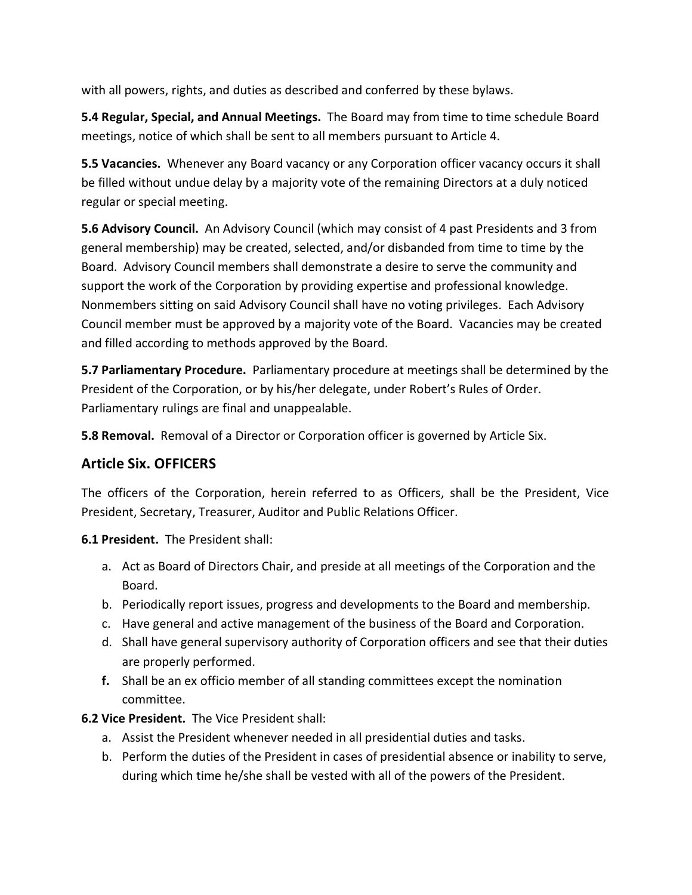with all powers, rights, and duties as described and conferred by these bylaws.

**5.4 Regular, Special, and Annual Meetings.** The Board may from time to time schedule Board meetings, notice of which shall be sent to all members pursuant to Article 4.

**5.5 Vacancies.** Whenever any Board vacancy or any Corporation officer vacancy occurs it shall be filled without undue delay by a majority vote of the remaining Directors at a duly noticed regular or special meeting.

**5.6 Advisory Council.** An Advisory Council (which may consist of 4 past Presidents and 3 from general membership) may be created, selected, and/or disbanded from time to time by the Board. Advisory Council members shall demonstrate a desire to serve the community and support the work of the Corporation by providing expertise and professional knowledge. Nonmembers sitting on said Advisory Council shall have no voting privileges. Each Advisory Council member must be approved by a majority vote of the Board. Vacancies may be created and filled according to methods approved by the Board.

**5.7 Parliamentary Procedure.** Parliamentary procedure at meetings shall be determined by the President of the Corporation, or by his/her delegate, under Robert's Rules of Order. Parliamentary rulings are final and unappealable.

**5.8 Removal.** Removal of a Director or Corporation officer is governed by Article Six.

### **Article Six. OFFICERS**

The officers of the Corporation, herein referred to as Officers, shall be the President, Vice President, Secretary, Treasurer, Auditor and Public Relations Officer.

**6.1 President.** The President shall:

- a. Act as Board of Directors Chair, and preside at all meetings of the Corporation and the Board.
- b. Periodically report issues, progress and developments to the Board and membership.
- c. Have general and active management of the business of the Board and Corporation.
- d. Shall have general supervisory authority of Corporation officers and see that their duties are properly performed.
- **f.** Shall be an ex officio member of all standing committees except the nomination committee.
- **6.2 Vice President.** The Vice President shall:
	- a. Assist the President whenever needed in all presidential duties and tasks.
	- b. Perform the duties of the President in cases of presidential absence or inability to serve, during which time he/she shall be vested with all of the powers of the President.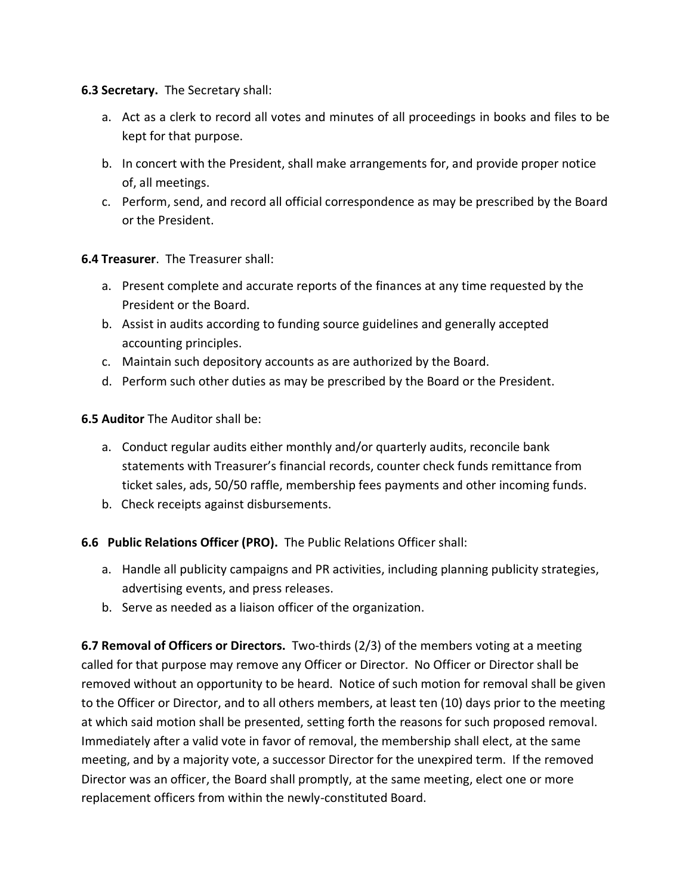**6.3 Secretary.** The Secretary shall:

- a. Act as a clerk to record all votes and minutes of all proceedings in books and files to be kept for that purpose.
- b. In concert with the President, shall make arrangements for, and provide proper notice of, all meetings.
- c. Perform, send, and record all official correspondence as may be prescribed by the Board or the President.

#### **6.4 Treasurer**. The Treasurer shall:

- a. Present complete and accurate reports of the finances at any time requested by the President or the Board.
- b. Assist in audits according to funding source guidelines and generally accepted accounting principles.
- c. Maintain such depository accounts as are authorized by the Board.
- d. Perform such other duties as may be prescribed by the Board or the President.

**6.5 Auditor** The Auditor shall be:

- a. Conduct regular audits either monthly and/or quarterly audits, reconcile bank statements with Treasurer's financial records, counter check funds remittance from ticket sales, ads, 50/50 raffle, membership fees payments and other incoming funds.
- b. Check receipts against disbursements.

#### **6.6 Public Relations Officer (PRO).** The Public Relations Officer shall:

- a. Handle all publicity campaigns and PR activities, including planning publicity strategies, advertising events, and press releases.
- b. Serve as needed as a liaison officer of the organization.

**6.7 Removal of Officers or Directors.** Two-thirds (2/3) of the members voting at a meeting called for that purpose may remove any Officer or Director. No Officer or Director shall be removed without an opportunity to be heard. Notice of such motion for removal shall be given to the Officer or Director, and to all others members, at least ten (10) days prior to the meeting at which said motion shall be presented, setting forth the reasons for such proposed removal. Immediately after a valid vote in favor of removal, the membership shall elect, at the same meeting, and by a majority vote, a successor Director for the unexpired term. If the removed Director was an officer, the Board shall promptly, at the same meeting, elect one or more replacement officers from within the newly-constituted Board.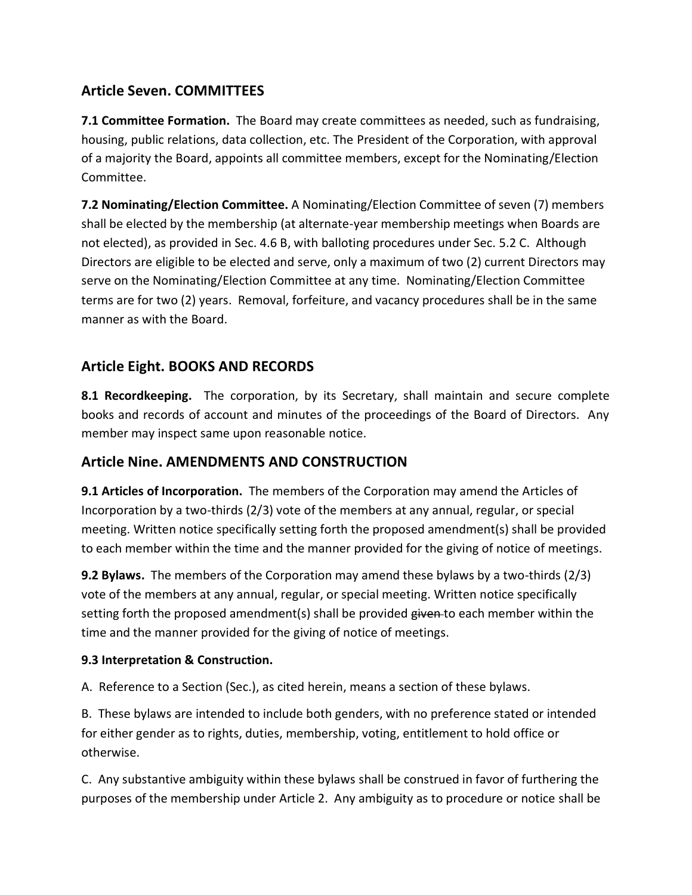## **Article Seven. COMMITTEES**

**7.1 Committee Formation.** The Board may create committees as needed, such as fundraising, housing, public relations, data collection, etc. The President of the Corporation, with approval of a majority the Board, appoints all committee members, except for the Nominating/Election Committee.

**7.2 Nominating/Election Committee.** A Nominating/Election Committee of seven (7) members shall be elected by the membership (at alternate-year membership meetings when Boards are not elected), as provided in Sec. 4.6 B, with balloting procedures under Sec. 5.2 C. Although Directors are eligible to be elected and serve, only a maximum of two (2) current Directors may serve on the Nominating/Election Committee at any time. Nominating/Election Committee terms are for two (2) years. Removal, forfeiture, and vacancy procedures shall be in the same manner as with the Board.

## **Article Eight. BOOKS AND RECORDS**

**8.1 Recordkeeping.** The corporation, by its Secretary, shall maintain and secure complete books and records of account and minutes of the proceedings of the Board of Directors. Any member may inspect same upon reasonable notice.

## **Article Nine. AMENDMENTS AND CONSTRUCTION**

**9.1 Articles of Incorporation.** The members of the Corporation may amend the Articles of Incorporation by a two-thirds (2/3) vote of the members at any annual, regular, or special meeting. Written notice specifically setting forth the proposed amendment(s) shall be provided to each member within the time and the manner provided for the giving of notice of meetings.

**9.2 Bylaws.** The members of the Corporation may amend these bylaws by a two-thirds (2/3) vote of the members at any annual, regular, or special meeting. Written notice specifically setting forth the proposed amendment(s) shall be provided given to each member within the time and the manner provided for the giving of notice of meetings.

#### **9.3 Interpretation & Construction.**

A.Reference to a Section (Sec.), as cited herein, means a section of these bylaws.

B. These bylaws are intended to include both genders, with no preference stated or intended for either gender as to rights, duties, membership, voting, entitlement to hold office or otherwise.

C. Any substantive ambiguity within these bylaws shall be construed in favor of furthering the purposes of the membership under Article 2. Any ambiguity as to procedure or notice shall be